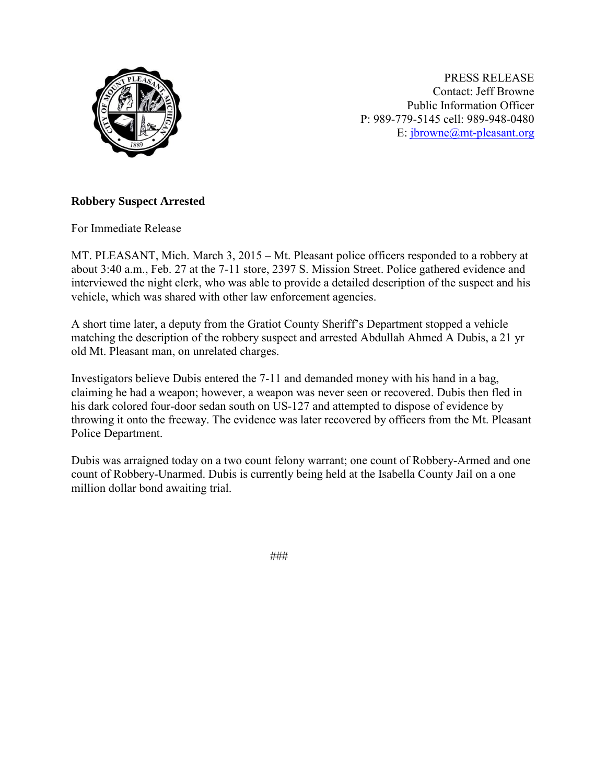

PRESS RELEASE Contact: Jeff Browne Public Information Officer P: 989-779-5145 cell: 989-948-0480 E: [jbrowne@mt-pleasant.org](mailto:jbrowne@mt-pleasant.org)

## **Robbery Suspect Arrested**

For Immediate Release

MT. PLEASANT, Mich. March 3, 2015 – Mt. Pleasant police officers responded to a robbery at about 3:40 a.m., Feb. 27 at the 7-11 store, 2397 S. Mission Street. Police gathered evidence and interviewed the night clerk, who was able to provide a detailed description of the suspect and his vehicle, which was shared with other law enforcement agencies.

A short time later, a deputy from the Gratiot County Sheriff's Department stopped a vehicle matching the description of the robbery suspect and arrested Abdullah Ahmed A Dubis, a 21 yr old Mt. Pleasant man, on unrelated charges.

Investigators believe Dubis entered the 7-11 and demanded money with his hand in a bag, claiming he had a weapon; however, a weapon was never seen or recovered. Dubis then fled in his dark colored four-door sedan south on US-127 and attempted to dispose of evidence by throwing it onto the freeway. The evidence was later recovered by officers from the Mt. Pleasant Police Department.

Dubis was arraigned today on a two count felony warrant; one count of Robbery-Armed and one count of Robbery-Unarmed. Dubis is currently being held at the Isabella County Jail on a one million dollar bond awaiting trial.

###